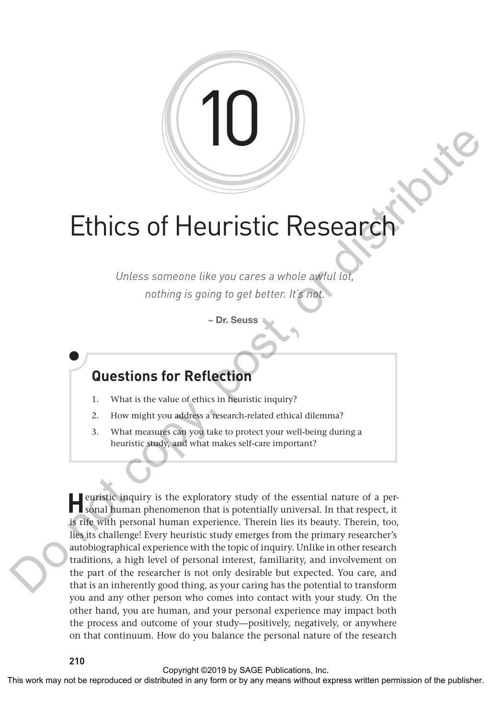

# **Ethics of Heuristic Researd**

*Unless someone like you cares a whole awful lot, nothing is going to get better. It's not.*

~ Dr. Seuss

## **Questions for Reflection**

- 1. What is the value of ethics in heuristic inquiry?
- 2. How might you address a research-related ethical dilemma?
- 3. What measures can you take to protect your well-being during a heuristic study, and what makes self-care important?

**H**euristic inquiry is the exploratory study of the essential nature of a personal human phenomenon that is potentially universal. In that respect, it is rife with personal human experience. Therein lies its beauty. Therein, too, lies its challenge! Every heuristic study emerges from the primary researcher's autobiographical experience with the topic of inquiry. Unlike in other research traditions, a high level of personal interest, familiarity, and involvement on the part of the researcher is not only desirable but expected. You care, and that is an inherently good thing, as your caring has the potential to transform you and any other person who comes into contact with your study. On the other hand, you are human, and your personal experience may impact both the process and outcome of your study—positively, negatively, or anywhere on that continuum. How do you balance the personal nature of the research This work may not be reproduced or distributed in any form or by an analyze the publisher.<br>
This work may not be reproduced in any form or between the publisher of the publisher. The comparison of the publisher of the pub

Copyright ©2019 by SAGE Publications, Inc.<br>This work may not be reproduced or distributed in any form or by any means without express written permission of the publisher.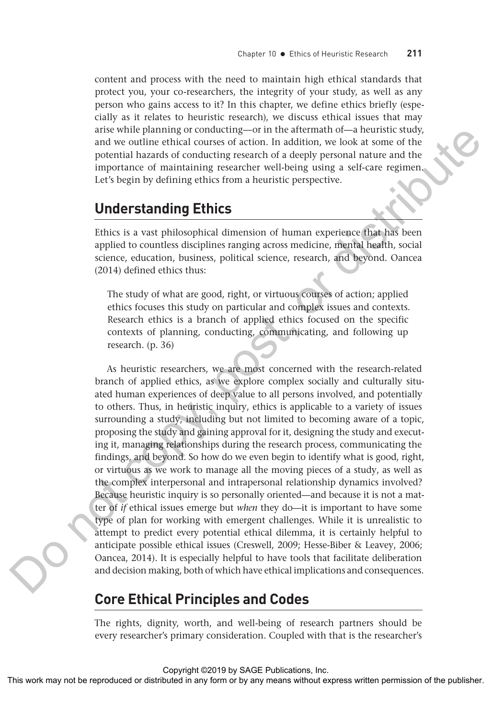content and process with the need to maintain high ethical standards that protect you, your co-researchers, the integrity of your study, as well as any person who gains access to it? In this chapter, we define ethics briefly (especially as it relates to heuristic research), we discuss ethical issues that may arise while planning or conducting—or in the aftermath of—a heuristic study, and we outline ethical courses of action. In addition, we look at some of the potential hazards of conducting research of a deeply personal nature and the importance of maintaining researcher well-being using a self-care regimen. Let's begin by defining ethics from a heuristic perspective.

## **Understanding Ethics**

Ethics is a vast philosophical dimension of human experience that has been applied to countless disciplines ranging across medicine, mental health, social science, education, business, political science, research, and beyond. Oancea (2014) defined ethics thus:

The study of what are good, right, or virtuous courses of action; applied ethics focuses this study on particular and complex issues and contexts. Research ethics is a branch of applied ethics focused on the specific contexts of planning, conducting, communicating, and following up research. (p. 36)

As heuristic researchers, we are most concerned with the research-related branch of applied ethics, as we explore complex socially and culturally situated human experiences of deep value to all persons involved, and potentially to others. Thus, in heuristic inquiry, ethics is applicable to a variety of issues surrounding a study, including but not limited to becoming aware of a topic, proposing the study and gaining approval for it, designing the study and executing it, managing relationships during the research process, communicating the findings, and beyond. So how do we even begin to identify what is good, right, or virtuous as we work to manage all the moving pieces of a study, as well as the complex interpersonal and intrapersonal relationship dynamics involved? Because heuristic inquiry is so personally oriented—and because it is not a matter of *if* ethical issues emerge but *when* they do—it is important to have some type of plan for working with emergent challenges. While it is unrealistic to attempt to predict every potential ethical dilemma, it is certainly helpful to anticipate possible ethical issues (Creswell, 2009; Hesse-Biber & Leavey, 2006; Oancea, 2014). It is especially helpful to have tools that facilitate deliberation and decision making, both of which have ethical implications and consequences. The results are the expected or distributed in any form of the any means with the reproduct the spectral or distributed in express and the decision and the spectral or by any means of the publisher. The publisher and the

## **Core Ethical Principles and Codes**

The rights, dignity, worth, and well-being of research partners should be every researcher's primary consideration. Coupled with that is the researcher's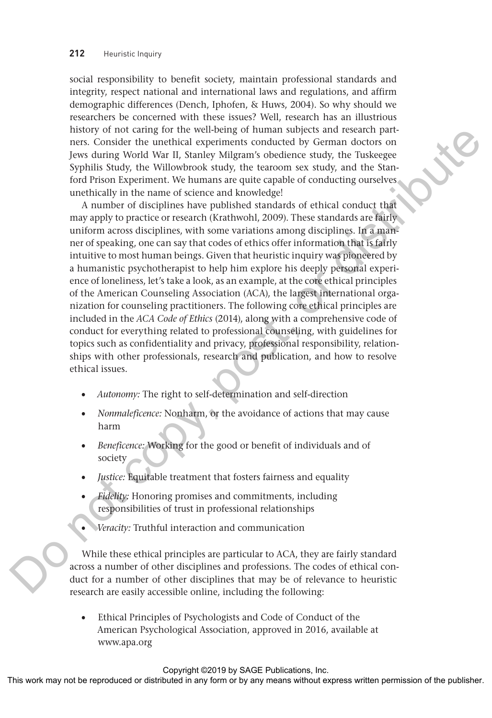social responsibility to benefit society, maintain professional standards and integrity, respect national and international laws and regulations, and affirm demographic differences (Dench, Iphofen, & Huws, 2004). So why should we researchers be concerned with these issues? Well, research has an illustrious history of not caring for the well-being of human subjects and research partners. Consider the unethical experiments conducted by German doctors on Jews during World War II, Stanley Milgram's obedience study, the Tuskeegee Syphilis Study, the Willowbrook study, the tearoom sex study, and the Stanford Prison Experiment. We humans are quite capable of conducting ourselves unethically in the name of science and knowledge!

A number of disciplines have published standards of ethical conduct that may apply to practice or research (Krathwohl, 2009). These standards are fairly uniform across disciplines, with some variations among disciplines. In a manner of speaking, one can say that codes of ethics offer information that is fairly intuitive to most human beings. Given that heuristic inquiry was pioneered by a humanistic psychotherapist to help him explore his deeply personal experience of loneliness, let's take a look, as an example, at the core ethical principles of the American Counseling Association (ACA), the largest international organization for counseling practitioners. The following core ethical principles are included in the *ACA Code of Ethics* (2014), along with a comprehensive code of conduct for everything related to professional counseling, with guidelines for topics such as confidentiality and privacy, professional responsibility, relationships with other professionals, research and publication, and how to resolve ethical issues. This work may not be represented or the represented or distributed by the may observe any form of the representation of the representation of the representation of the representation of the publisher. Any form of the publ

- *Autonomy:* The right to self-determination and self-direction
- *Nonmaleficence:* Nonharm, or the avoidance of actions that may cause harm
- *Beneficence:* Working for the good or benefit of individuals and of society
- *Justice:* Equitable treatment that fosters fairness and equality
- *Fidelity:* Honoring promises and commitments, including responsibilities of trust in professional relationships
- *Veracity:* Truthful interaction and communication

While these ethical principles are particular to ACA, they are fairly standard across a number of other disciplines and professions. The codes of ethical conduct for a number of other disciplines that may be of relevance to heuristic research are easily accessible online, including the following:

Ethical Principles of Psychologists and Code of Conduct of the American Psychological Association, approved in 2016, available at www.apa.org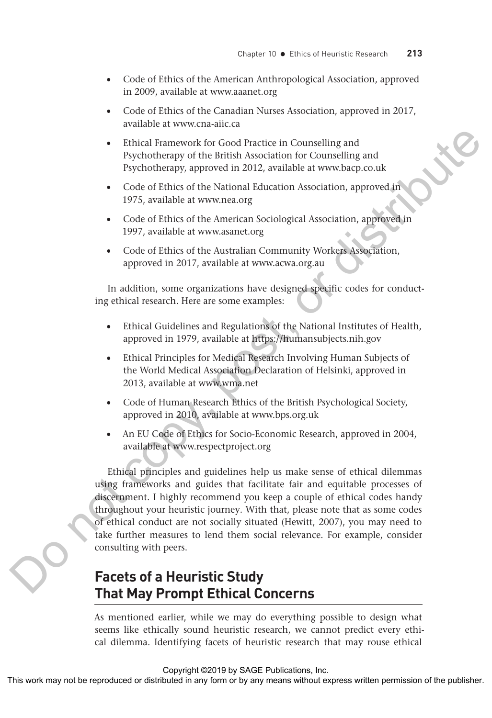- Code of Ethics of the American Anthropological Association, approved in 2009, available at www.aaanet.org
- Code of Ethics of the Canadian Nurses Association, approved in 2017, available at www.cna-aiic.ca
- Ethical Framework for Good Practice in Counselling and Psychotherapy of the British Association for Counselling and Psychotherapy, approved in 2012, available at www.bacp.co.uk
- Code of Ethics of the National Education Association, approved in 1975, available at www.nea.org
- Code of Ethics of the American Sociological Association, approved in 1997, available at www.asanet.org
- Code of Ethics of the Australian Community Workers Association, approved in 2017, available at www.acwa.org.au

In addition, some organizations have designed specific codes for conducting ethical research. Here are some examples:

- Ethical Guidelines and Regulations of the National Institutes of Health, approved in 1979, available at https://humansubjects.nih.gov
- Ethical Principles for Medical Research Involving Human Subjects of the World Medical Association Declaration of Helsinki, approved in 2013, available at www.wma.net
- Code of Human Research Ethics of the British Psychological Society, approved in 2010, available at www.bps.org.uk
- An EU Code of Ethics for Socio-Economic Research, approved in 2004, available at www.respectproject.org

Ethical principles and guidelines help us make sense of ethical dilemmas using frameworks and guides that facilitate fair and equitable processes of discernment. I highly recommend you keep a couple of ethical codes handy throughout your heuristic journey. With that, please note that as some codes of ethical conduct are not socially situated (Hewitt, 2007), you may need to take further measures to lend them social relevance. For example, consider consulting with peers. Finited Framework for Good Practice in Commelling and<br>
Sychotherapy of the friends Moscolation Association, approved in<br>
Code of Ethis cost for Kerkinsin klutching Katolation Association, approved in<br>
1975, available at w

## **Facets of a Heuristic Study That May Prompt Ethical Concerns**

As mentioned earlier, while we may do everything possible to design what seems like ethically sound heuristic research, we cannot predict every ethical dilemma. Identifying facets of heuristic research that may rouse ethical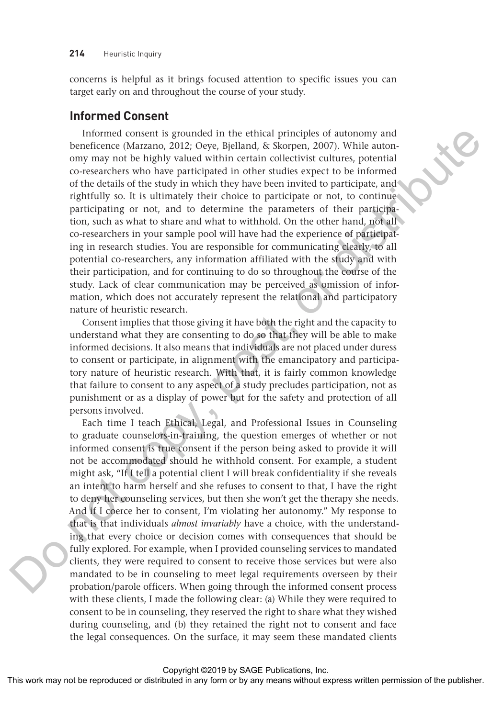concerns is helpful as it brings focused attention to specific issues you can target early on and throughout the course of your study.

#### **Informed Consent**

Informed consent is grounded in the ethical principles of autonomy and beneficence (Marzano, 2012; Oeye, Bjelland, & Skorpen, 2007). While autonomy may not be highly valued within certain collectivist cultures, potential co-researchers who have participated in other studies expect to be informed of the details of the study in which they have been invited to participate, and rightfully so. It is ultimately their choice to participate or not, to continue participating or not, and to determine the parameters of their participation, such as what to share and what to withhold. On the other hand, not all co-researchers in your sample pool will have had the experience of participating in research studies. You are responsible for communicating clearly, to all potential co-researchers, any information affiliated with the study and with their participation, and for continuing to do so throughout the course of the study. Lack of clear communication may be perceived as omission of information, which does not accurately represent the relational and participatory nature of heuristic research.

Consent implies that those giving it have both the right and the capacity to understand what they are consenting to do so that they will be able to make informed decisions. It also means that individuals are not placed under duress to consent or participate, in alignment with the emancipatory and participatory nature of heuristic research. With that, it is fairly common knowledge that failure to consent to any aspect of a study precludes participation, not as punishment or as a display of power but for the safety and protection of all persons involved.

Each time I teach Ethical, Legal, and Professional Issues in Counseling to graduate counselors-in-training, the question emerges of whether or not informed consent is true consent if the person being asked to provide it will not be accommodated should he withhold consent. For example, a student might ask, "If I tell a potential client I will break confidentiality if she reveals an intent to harm herself and she refuses to consent to that, I have the right to deny her counseling services, but then she won't get the therapy she needs. And if I coerce her to consent, I'm violating her autonomy." My response to that is that individuals *almost invariably* have a choice, with the understanding that every choice or decision comes with consequences that should be fully explored. For example, when I provided counseling services to mandated clients, they were required to consent to receive those services but were also mandated to be in counseling to meet legal requirements overseen by their probation/parole officers. When going through the informed consent process with these clients, I made the following clear: (a) While they were required to consent to be in counseling, they reserved the right to share what they wished during counseling, and (b) they retained the right not to consent and face the legal consequences. On the surface, it may seem these mandated clients Informed consent from the restricted of the right or distributed in any means when the publisher or distributed in any form or by any means when the publisher content of the consent means when the publisher of the publish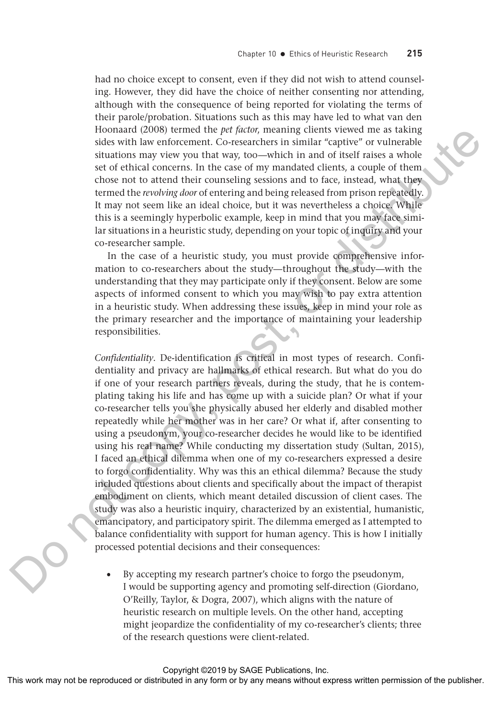had no choice except to consent, even if they did not wish to attend counseling. However, they did have the choice of neither consenting nor attending, although with the consequence of being reported for violating the terms of their parole/probation. Situations such as this may have led to what van den Hoonaard (2008) termed the *pet factor*, meaning clients viewed me as taking sides with law enforcement. Co-researchers in similar "captive" or vulnerable situations may view you that way, too—which in and of itself raises a whole set of ethical concerns. In the case of my mandated clients, a couple of them chose not to attend their counseling sessions and to face, instead, what they termed the *revolving door* of entering and being released from prison repeatedly. It may not seem like an ideal choice, but it was nevertheless a choice. While this is a seemingly hyperbolic example, keep in mind that you may face similar situations in a heuristic study, depending on your topic of inquiry and your co-researcher sample.

In the case of a heuristic study, you must provide comprehensive information to co-researchers about the study—throughout the study—with the understanding that they may participate only if they consent. Below are some aspects of informed consent to which you may wish to pay extra attention in a heuristic study. When addressing these issues, keep in mind your role as the primary researcher and the importance of maintaining your leadership responsibilities.

*Confidentiality.* De-identification is critical in most types of research. Confidentiality and privacy are hallmarks of ethical research. But what do you do if one of your research partners reveals, during the study, that he is contemplating taking his life and has come up with a suicide plan? Or what if your co-researcher tells you she physically abused her elderly and disabled mother repeatedly while her mother was in her care? Or what if, after consenting to using a pseudonym, your co-researcher decides he would like to be identified using his real name? While conducting my dissertation study (Sultan, 2015), I faced an ethical dilemma when one of my co-researchers expressed a desire to forgo confidentiality. Why was this an ethical dilemma? Because the study included questions about clients and specifically about the impact of therapist embodiment on clients, which meant detailed discussion of client cases. The study was also a heuristic inquiry, characterized by an existential, humanistic, emancipatory, and participatory spirit. The dilemma emerged as I attempted to balance confidentiality with support for human agency. This is how I initially processed potential decisions and their consequences: Hocal and the reproduced or the publisherial and or between the states were represented to the reproduced or distributed in any form or by any means with the reproduced of the publishers with the publisher of the publishe

• By accepting my research partner's choice to forgo the pseudonym, I would be supporting agency and promoting self-direction (Giordano, O'Reilly, Taylor, & Dogra, 2007), which aligns with the nature of heuristic research on multiple levels. On the other hand, accepting might jeopardize the confidentiality of my co-researcher's clients; three of the research questions were client-related.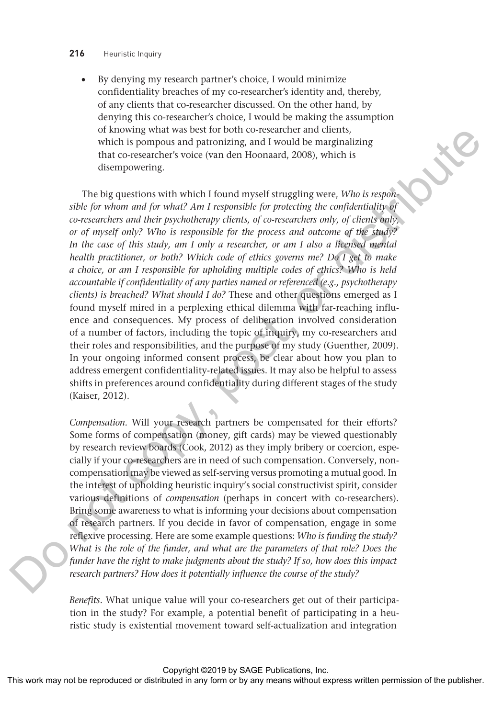#### **216** Heuristic Inquiry

• By denying my research partner's choice, I would minimize confidentiality breaches of my co-researcher's identity and, thereby, of any clients that co-researcher discussed. On the other hand, by denying this co-researcher's choice, I would be making the assumption of knowing what was best for both co-researcher and clients, which is pompous and patronizing, and I would be marginalizing that co-researcher's voice (van den Hoonaard, 2008), which is disempowering.

The big questions with which I found myself struggling were, *Who is responsible for whom and for what? Am I responsible for protecting the confidentiality of co-researchers and their psychotherapy clients, of co-researchers only, of clients only, or of myself only? Who is responsible for the process and outcome of the study?*  In the case of this study, am I only a researcher, or am I also a licensed mental *health practitioner, or both? Which code of ethics governs me? Do I get to make a choice, or am I responsible for upholding multiple codes of ethics? Who is held accountable if confidentiality of any parties named or referenced (e.g., psychotherapy clients) is breached? What should I do?* These and other questions emerged as I found myself mired in a perplexing ethical dilemma with far-reaching influence and consequences. My process of deliberation involved consideration of a number of factors, including the topic of inquiry, my co-researchers and their roles and responsibilities, and the purpose of my study (Guenther, 2009). In your ongoing informed consent process, be clear about how you plan to address emergent confidentiality-related issues. It may also be helpful to assess shifts in preferences around confidentiality during different stages of the study (Kaiser, 2012). or factories work or by any fit was better to the results of the responsible distributed in any form or the responsible distributed in any form or  $\mathbb{R}$  with the copy of the publisher. The big specific state with which

*Compensation.* Will your research partners be compensated for their efforts? Some forms of compensation (money, gift cards) may be viewed questionably by research review boards (Cook, 2012) as they imply bribery or coercion, especially if your co-researchers are in need of such compensation. Conversely, noncompensation may be viewed as self-serving versus promoting a mutual good. In the interest of upholding heuristic inquiry's social constructivist spirit, consider various definitions of *compensation* (perhaps in concert with co-researchers). Bring some awareness to what is informing your decisions about compensation of research partners. If you decide in favor of compensation, engage in some reflexive processing. Here are some example questions: *Who is funding the study? What is the role of the funder, and what are the parameters of that role? Does the funder have the right to make judgments about the study? If so, how does this impact research partners? How does it potentially influence the course of the study?*

*Benefits.* What unique value will your co-researchers get out of their participation in the study? For example, a potential benefit of participating in a heuristic study is existential movement toward self-actualization and integration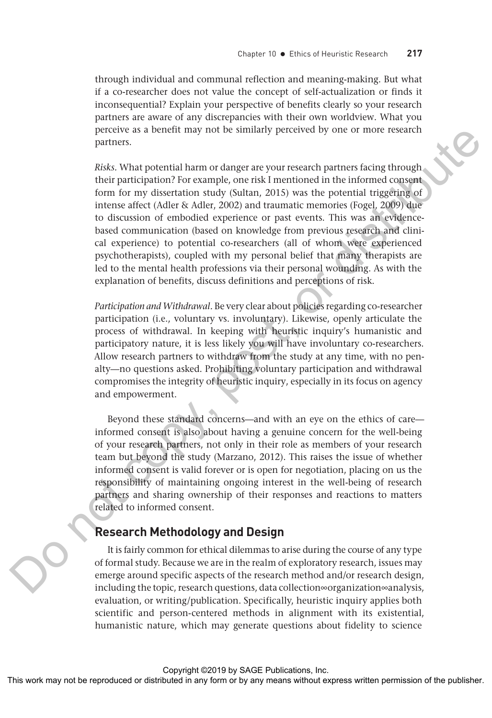through individual and communal reflection and meaning-making. But what if a co-researcher does not value the concept of self-actualization or finds it inconsequential? Explain your perspective of benefits clearly so your research partners are aware of any discrepancies with their own worldview. What you perceive as a benefit may not be similarly perceived by one or more research partners.

*Risks.* What potential harm or danger are your research partners facing through their participation? For example, one risk I mentioned in the informed consent form for my dissertation study (Sultan, 2015) was the potential triggering of intense affect (Adler & Adler, 2002) and traumatic memories (Fogel, 2009) due to discussion of embodied experience or past events. This was an evidencebased communication (based on knowledge from previous research and clinical experience) to potential co-researchers (all of whom were experienced psychotherapists), coupled with my personal belief that many therapists are led to the mental health professions via their personal wounding. As with the explanation of benefits, discuss definitions and perceptions of risk. percent as a benefit may not be similarly percented by one or mose research.<br>
Next, What positival barm or disagree are your results of the publisher. And the publisher of the publisher of the publisher of the publisher an

*Participation and Withdrawal.* Be very clear about policies regarding co-researcher participation (i.e., voluntary vs. involuntary). Likewise, openly articulate the process of withdrawal. In keeping with heuristic inquiry's humanistic and participatory nature, it is less likely you will have involuntary co-researchers. Allow research partners to withdraw from the study at any time, with no penalty—no questions asked. Prohibiting voluntary participation and withdrawal compromises the integrity of heuristic inquiry, especially in its focus on agency and empowerment.

Beyond these standard concerns—and with an eye on the ethics of care informed consent is also about having a genuine concern for the well-being of your research partners, not only in their role as members of your research team but beyond the study (Marzano, 2012). This raises the issue of whether informed consent is valid forever or is open for negotiation, placing on us the responsibility of maintaining ongoing interest in the well-being of research partners and sharing ownership of their responses and reactions to matters related to informed consent.

#### **Research Methodology and Design**

It is fairly common for ethical dilemmas to arise during the course of any type of formal study. Because we are in the realm of exploratory research, issues may emerge around specific aspects of the research method and/or research design, including the topic, research questions, data collection∞organization∞analysis, evaluation, or writing/publication. Specifically, heuristic inquiry applies both scientific and person-centered methods in alignment with its existential, humanistic nature, which may generate questions about fidelity to science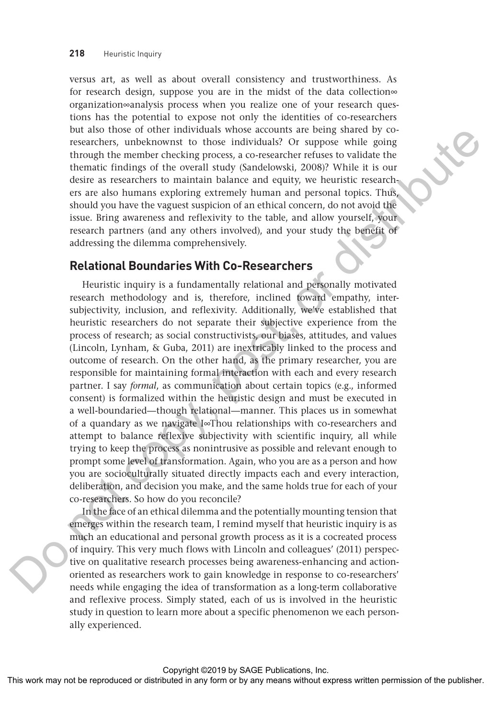versus art, as well as about overall consistency and trustworthiness. As for research design, suppose you are in the midst of the data collection∞ organization∞analysis process when you realize one of your research questions has the potential to expose not only the identities of co-researchers but also those of other individuals whose accounts are being shared by coresearchers, unbeknownst to those individuals? Or suppose while going through the member checking process, a co-researcher refuses to validate the thematic findings of the overall study (Sandelowski, 2008)? While it is our desire as researchers to maintain balance and equity, we heuristic researchers are also humans exploring extremely human and personal topics. Thus, should you have the vaguest suspicion of an ethical concern, do not avoid the issue. Bring awareness and reflexivity to the table, and allow yourself, your research partners (and any others involved), and your study the benefit of addressing the dilemma comprehensively.

#### **Relational Boundaries With Co-Researchers**

Heuristic inquiry is a fundamentally relational and personally motivated research methodology and is, therefore, inclined toward empathy, intersubjectivity, inclusion, and reflexivity. Additionally, we've established that heuristic researchers do not separate their subjective experience from the process of research; as social constructivists, our biases, attitudes, and values (Lincoln, Lynham, & Guba, 2011) are inextricably linked to the process and outcome of research. On the other hand, as the primary researcher, you are responsible for maintaining formal interaction with each and every research partner. I say *formal*, as communication about certain topics (e.g., informed consent) is formalized within the heuristic design and must be executed in a well-boundaried—though relational—manner. This places us in somewhat of a quandary as we navigate I∞Thou relationships with co-researchers and attempt to balance reflexive subjectivity with scientific inquiry, all while trying to keep the process as nonintrusive as possible and relevant enough to prompt some level of transformation. Again, who you are as a person and how you are socioculturally situated directly impacts each and every interaction, deliberation, and decision you make, and the same holds true for each of your co-researchers. So how do you reconcile? During the control in the rest may the section of the section or between the state or the publisher or distributed in any means of the most control the state of the most control or the publisher of the publisher of the pu

In the face of an ethical dilemma and the potentially mounting tension that emerges within the research team, I remind myself that heuristic inquiry is as much an educational and personal growth process as it is a cocreated process of inquiry. This very much flows with Lincoln and colleagues' (2011) perspective on qualitative research processes being awareness-enhancing and actionoriented as researchers work to gain knowledge in response to co-researchers' needs while engaging the idea of transformation as a long-term collaborative and reflexive process. Simply stated, each of us is involved in the heuristic study in question to learn more about a specific phenomenon we each personally experienced.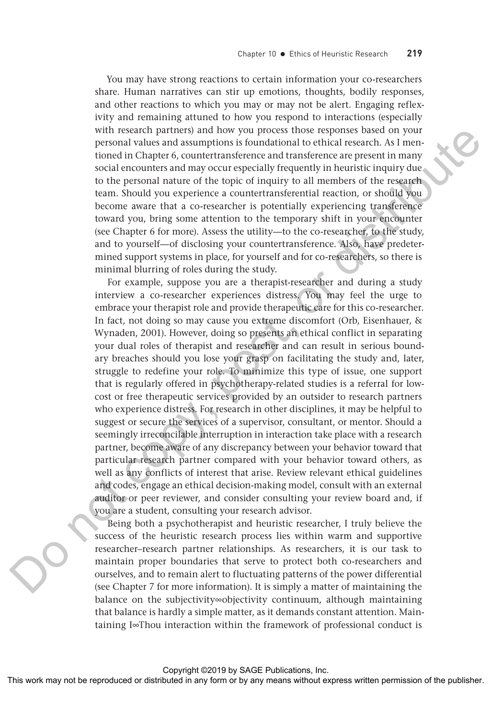You may have strong reactions to certain information your co-researchers share. Human narratives can stir up emotions, thoughts, bodily responses, and other reactions to which you may or may not be alert. Engaging reflexivity and remaining attuned to how you respond to interactions (especially with research partners) and how you process those responses based on your personal values and assumptions is foundational to ethical research. As I mentioned in Chapter 6, countertransference and transference are present in many social encounters and may occur especially frequently in heuristic inquiry due to the personal nature of the topic of inquiry to all members of the research team. Should you experience a countertransferential reaction, or should you become aware that a co-researcher is potentially experiencing transference toward you, bring some attention to the temporary shift in your encounter (see Chapter 6 for more). Assess the utility—to the co-researcher, to the study, and to yourself—of disclosing your countertransference. Also, have predetermined support systems in place, for yourself and for co-researchers, so there is minimal blurring of roles during the study.

For example, suppose you are a therapist-researcher and during a study interview a co-researcher experiences distress. You may feel the urge to embrace your therapist role and provide therapeutic care for this co-researcher. In fact, not doing so may cause you extreme discomfort (Orb, Eisenhauer, & Wynaden, 2001). However, doing so presents an ethical conflict in separating your dual roles of therapist and researcher and can result in serious boundary breaches should you lose your grasp on facilitating the study and, later, struggle to redefine your role. To minimize this type of issue, one support that is regularly offered in psychotherapy-related studies is a referral for lowcost or free therapeutic services provided by an outsider to research partners who experience distress. For research in other disciplines, it may be helpful to suggest or secure the services of a supervisor, consultant, or mentor. Should a seemingly irreconcilable interruption in interaction take place with a research partner, become aware of any discrepancy between your behavior toward that particular research partner compared with your behavior toward others, as well as any conflicts of interest that arise. Review relevant ethical guidelines and codes, engage an ethical decision-making model, consult with an external auditor or peer reviewer, and consider consulting your review board and, if you are a student, consulting your research advisor. with research partners in the original constraints or distributed in the reproduced or distributed in any form or by any means with the publisher. As the reproduced or the compact of the publisher or distributed in any me

Being both a psychotherapist and heuristic researcher, I truly believe the success of the heuristic research process lies within warm and supportive researcher–research partner relationships. As researchers, it is our task to maintain proper boundaries that serve to protect both co-researchers and ourselves, and to remain alert to fluctuating patterns of the power differential (see Chapter 7 for more information). It is simply a matter of maintaining the balance on the subjectivity∞objectivity continuum, although maintaining that balance is hardly a simple matter, as it demands constant attention. Maintaining I∞Thou interaction within the framework of professional conduct is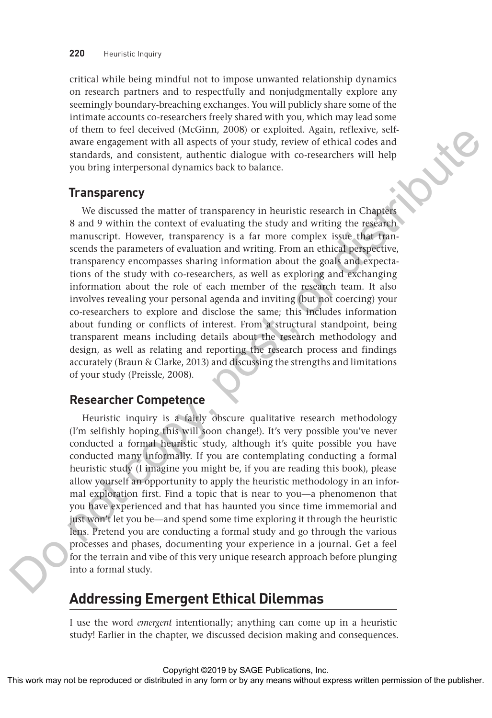critical while being mindful not to impose unwanted relationship dynamics on research partners and to respectfully and nonjudgmentally explore any seemingly boundary-breaching exchanges. You will publicly share some of the intimate accounts co-researchers freely shared with you, which may lead some of them to feel deceived (McGinn, 2008) or exploited. Again, reflexive, selfaware engagement with all aspects of your study, review of ethical codes and standards, and consistent, authentic dialogue with co-researchers will help you bring interpersonal dynamics back to balance.

#### **Transparency**

We discussed the matter of transparency in heuristic research in Chapters 8 and 9 within the context of evaluating the study and writing the research manuscript. However, transparency is a far more complex issue that transcends the parameters of evaluation and writing. From an ethical perspective, transparency encompasses sharing information about the goals and expectations of the study with co-researchers, as well as exploring and exchanging information about the role of each member of the research team. It also involves revealing your personal agenda and inviting (but not coercing) your co-researchers to explore and disclose the same; this includes information about funding or conflicts of interest. From a structural standpoint, being transparent means including details about the research methodology and design, as well as relating and reporting the research process and findings accurately (Braun & Clarke, 2013) and discussing the strengths and limitations of your study (Preissle, 2008). of the reproduced in a continuous may not be reproduced or distributed in any means with corresponding and continuous with corresponding in any means with the publisher with the publisher. The distributed in any means we

#### **Researcher Competence**

Heuristic inquiry is a fairly obscure qualitative research methodology (I'm selfishly hoping this will soon change!). It's very possible you've never conducted a formal heuristic study, although it's quite possible you have conducted many informally. If you are contemplating conducting a formal heuristic study (I imagine you might be, if you are reading this book), please allow yourself an opportunity to apply the heuristic methodology in an informal exploration first. Find a topic that is near to you—a phenomenon that you have experienced and that has haunted you since time immemorial and just won't let you be—and spend some time exploring it through the heuristic lens. Pretend you are conducting a formal study and go through the various processes and phases, documenting your experience in a journal. Get a feel for the terrain and vibe of this very unique research approach before plunging into a formal study.

## **Addressing Emergent Ethical Dilemmas**

I use the word *emergent* intentionally; anything can come up in a heuristic study! Earlier in the chapter, we discussed decision making and consequences.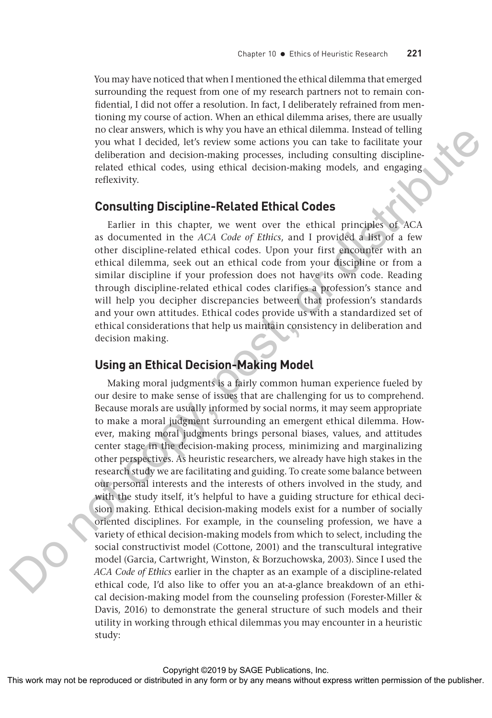You may have noticed that when I mentioned the ethical dilemma that emerged surrounding the request from one of my research partners not to remain confidential, I did not offer a resolution. In fact, I deliberately refrained from mentioning my course of action. When an ethical dilemma arises, there are usually no clear answers, which is why you have an ethical dilemma. Instead of telling you what I decided, let's review some actions you can take to facilitate your deliberation and decision-making processes, including consulting disciplinerelated ethical codes, using ethical decision-making models, and engaging reflexivity.

#### **Consulting Discipline-Related Ethical Codes**

Earlier in this chapter, we went over the ethical principles of ACA as documented in the *ACA Code of Ethics*, and I provided a list of a few other discipline-related ethical codes. Upon your first encounter with an ethical dilemma, seek out an ethical code from your discipline or from a similar discipline if your profession does not have its own code. Reading through discipline-related ethical codes clarifies a profession's stance and will help you decipher discrepancies between that profession's standards and your own attitudes. Ethical codes provide us with a standardized set of ethical considerations that help us maintain consistency in deliberation and decision making.

#### **Using an Ethical Decision-Making Model**

Making moral judgments is a fairly common human experience fueled by our desire to make sense of issues that are challenging for us to comprehend. Because morals are usually informed by social norms, it may seem appropriate to make a moral judgment surrounding an emergent ethical dilemma. However, making moral judgments brings personal biases, values, and attitudes center stage in the decision-making process, minimizing and marginalizing other perspectives. As heuristic researchers, we already have high stakes in the research study we are facilitating and guiding. To create some balance between our personal interests and the interests of others involved in the study, and with the study itself, it's helpful to have a guiding structure for ethical decision making. Ethical decision-making models exist for a number of socially oriented disciplines. For example, in the counseling profession, we have a variety of ethical decision-making models from which to select, including the social constructivist model (Cottone, 2001) and the transcultural integrative model (Garcia, Cartwright, Winston, & Borzuchowska, 2003). Since I used the *ACA Code of Ethics* earlier in the chapter as an example of a discipline-related ethical code, I'd also like to offer you an at-a-glance breakdown of an ethical decision-making model from the counseling profession (Forester-Miller & Davis, 2016) to demonstrate the general structure of such models and their utility in working through ethical dilemmas you may encounter in a heuristic study: The computer or the representation of the reproduced or distributed or distributed or distributed or distributed or distributed in any means were also that the publisher. The representation and decline the reproduced or di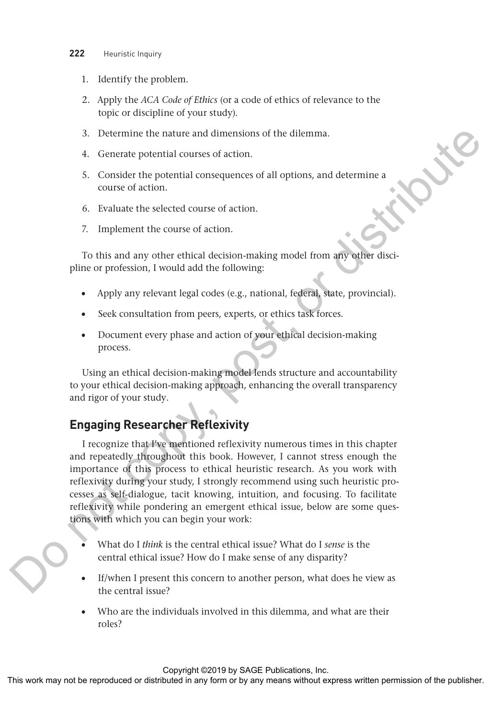- **222** Heuristic Inquiry
	- 1. Identify the problem.
	- 2. Apply the *ACA Code of Ethics* (or a code of ethics of relevance to the topic or discipline of your study).
	- 3. Determine the nature and dimensions of the dilemma.
	- 4. Generate potential courses of action.
	- 5. Consider the potential consequences of all options, and determine a course of action.
	- 6. Evaluate the selected course of action.
	- 7. Implement the course of action.

To this and any other ethical decision-making model from any other discipline or profession, I would add the following:

- Apply any relevant legal codes (e.g., national, federal, state, provincial).
- Seek consultation from peers, experts, or ethics task forces.
- Document every phase and action of your ethical decision-making process.

Using an ethical decision-making model lends structure and accountability to your ethical decision-making approach, enhancing the overall transparency and rigor of your study.

### **Engaging Researcher Reflexivity**

I recognize that I've mentioned reflexivity numerous times in this chapter and repeatedly throughout this book. However, I cannot stress enough the importance of this process to ethical heuristic research. As you work with reflexivity during your study, I strongly recommend using such heuristic processes as self-dialogue, tacit knowing, intuition, and focusing. To facilitate reflexivity while pondering an emergent ethical issue, below are some questions with which you can begin your work: 3. Determine the nature and dimensions of the dilemma.<br>
4. Consider the potential consequences or all options, and determine a<br>
5. Consider the potential consequences or all options, and determine a<br>
6. Form or distribute

- What do I *think* is the central ethical issue? What do I *sense* is the central ethical issue? How do I make sense of any disparity?
- If/when I present this concern to another person, what does he view as the central issue?
- Who are the individuals involved in this dilemma, and what are their roles?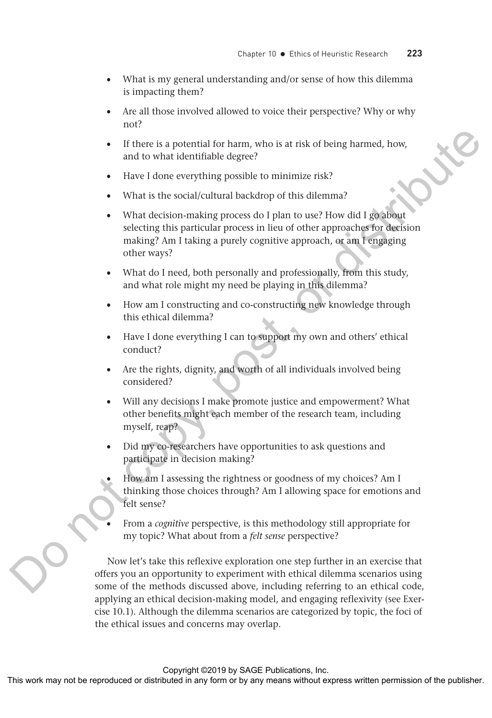- What is my general understanding and/or sense of how this dilemma is impacting them?
- Are all those involved allowed to voice their perspective? Why or why not?
- If there is a potential for harm, who is at risk of being harmed, how, and to what identifiable degree?
- Have I done everything possible to minimize risk?
- What is the social/cultural backdrop of this dilemma?
- What decision-making process do I plan to use? How did I go about selecting this particular process in lieu of other approaches for decision making? Am I taking a purely cognitive approach, or am I engaging other ways?
- What do I need, both personally and professionally, from this study, and what role might my need be playing in this dilemma?
- How am I constructing and co-constructing new knowledge through this ethical dilemma?
- Have I done everything I can to support my own and others' ethical conduct?
- Are the rights, dignity, and worth of all individuals involved being considered?
- Will any decisions I make promote justice and empowerment? What other benefits might each member of the research team, including myself, reap?
- Did my co-researchers have opportunities to ask questions and participate in decision making?
- How am I assessing the rightness or goodness of my choices? Am I thinking those choices through? Am I allowing space for emotions and felt sense?
- From a *cognitive* perspective, is this methodology still appropriate for my topic? What about from a *felt sense* perspective?

Now let's take this reflexive exploration one step further in an exercise that offers you an opportunity to experiment with ethical dilemma scenarios using some of the methods discussed above, including referring to an ethical code, applying an ethical decision-making model, and engaging reflexivity (see Exercise 10.1). Although the dilemma scenarios are categorized by topic, the foci of the ethical issues and concerns may overlap. This work may note that the reproduced or distributed of the comparison of the reproduced or distributed or distributed in any form or by any means when the publisher. What is the social celuminal selection or buy and any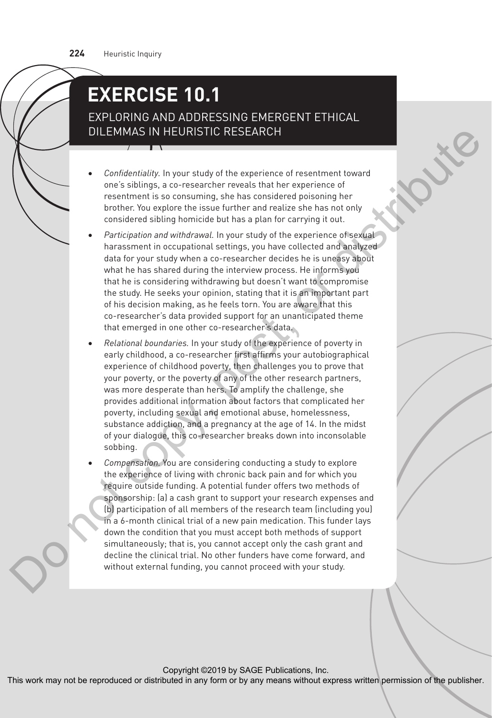## **EXERCISE 10.1**

EXPLORING AND ADDRESSING EMERGENT ETHICAL DILEMMAS IN HEURISTIC RESEARCH

- *Confidentiality.* In your study of the experience of resentment toward one's siblings, a co-researcher reveals that her experience of resentment is so consuming, she has considered poisoning her brother. You explore the issue further and realize she has not only considered sibling homicide but has a plan for carrying it out.
- Participation and withdrawal. In your study of the experience of sexual harassment in occupational settings, you have collected and analyzed data for your study when a co-researcher decides he is uneasy about what he has shared during the interview process. He informs you that he is considering withdrawing but doesn't want to compromise the study. He seeks your opinion, stating that it is an important part of his decision making, as he feels torn. You are aware that this co-researcher's data provided support for an unanticipated theme that emerged in one other co-researcher's data.
- *Relational boundaries.* In your study of the experience of poverty in early childhood, a co-researcher first affirms your autobiographical experience of childhood poverty, then challenges you to prove that your poverty, or the poverty of any of the other research partners, was more desperate than hers. To amplify the challenge, she provides additional information about factors that complicated her poverty, including sexual and emotional abuse, homelessness, substance addiction, and a pregnancy at the age of 14. In the midst of your dialogue, this co-researcher breaks down into inconsolable sobbing.
- *Compensation.* You are considering conducting a study to explore the experience of living with chronic back pain and for which you require outside funding. A potential funder offers two methods of sponsorship: (a) a cash grant to support your research expenses and (b) participation of all members of the research team (including you) in a 6-month clinical trial of a new pain medication. This funder lays down the condition that you must accept both methods of support simultaneously; that is, you cannot accept only the cash grant and decline the clinical trial. No other funders have come forward, and without external funding, you cannot proceed with your study. The state of this means with the reproduced or the state of the state or between the content or be reproduced to the state of the state of the publisher of the state of the publisher of the publisher of the publisher of th

Copyright ©2019 by SAGE Publications, Inc.<br>This work may not be reproduced or distributed in any form or by any means without express written permission of the publisher.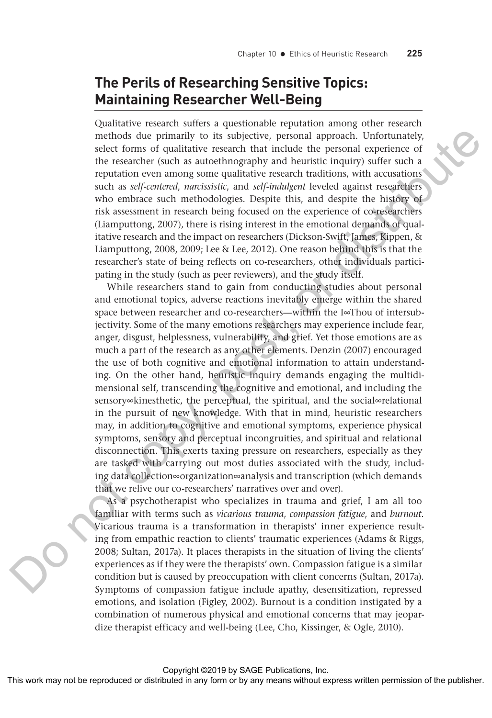## **The Perils of Researching Sensitive Topics: Maintaining Researcher Well-Being**

Qualitative research suffers a questionable reputation among other research methods due primarily to its subjective, personal approach. Unfortunately, select forms of qualitative research that include the personal experience of the researcher (such as autoethnography and heuristic inquiry) suffer such a reputation even among some qualitative research traditions, with accusations such as *self-centered*, *narcissistic*, and *self-indulgent* leveled against researchers who embrace such methodologies. Despite this, and despite the history of risk assessment in research being focused on the experience of co-researchers (Liamputtong, 2007), there is rising interest in the emotional demands of qualitative research and the impact on researchers (Dickson-Swift, James, Kippen, & Liamputtong, 2008, 2009; Lee & Lee, 2012). One reason behind this is that the researcher's state of being reflects on co-researchers, other individuals participating in the study (such as peer reviewers), and the study itself.

While researchers stand to gain from conducting studies about personal and emotional topics, adverse reactions inevitably emerge within the shared space between researcher and co-researchers—within the I∞Thou of intersubjectivity. Some of the many emotions researchers may experience include fear, anger, disgust, helplessness, vulnerability, and grief. Yet those emotions are as much a part of the research as any other elements. Denzin (2007) encouraged the use of both cognitive and emotional information to attain understanding. On the other hand, heuristic inquiry demands engaging the multidimensional self, transcending the cognitive and emotional, and including the sensory∞kinesthetic, the perceptual, the spiritual, and the social∞relational in the pursuit of new knowledge. With that in mind, heuristic researchers may, in addition to cognitive and emotional symptoms, experience physical symptoms, sensory and perceptual incongruities, and spiritual and relational disconnection. This exerts taxing pressure on researchers, especially as they are tasked with carrying out most duties associated with the study, including data collection∞organization∞analysis and transcription (which demands that we relive our co-researchers' narratives over and over). methods due primarily to its objective, percoring a provide a publisher and the research team and the research team and the research team of the swarf form or by any means with control a subjective reproduced in any form

As a psychotherapist who specializes in trauma and grief, I am all too familiar with terms such as *vicarious trauma*, *compassion fatigue*, and *burnout*. Vicarious trauma is a transformation in therapists' inner experience resulting from empathic reaction to clients' traumatic experiences (Adams & Riggs, 2008; Sultan, 2017a). It places therapists in the situation of living the clients' experiences as if they were the therapists' own. Compassion fatigue is a similar condition but is caused by preoccupation with client concerns (Sultan, 2017a). Symptoms of compassion fatigue include apathy, desensitization, repressed emotions, and isolation (Figley, 2002). Burnout is a condition instigated by a combination of numerous physical and emotional concerns that may jeopardize therapist efficacy and well-being (Lee, Cho, Kissinger, & Ogle, 2010).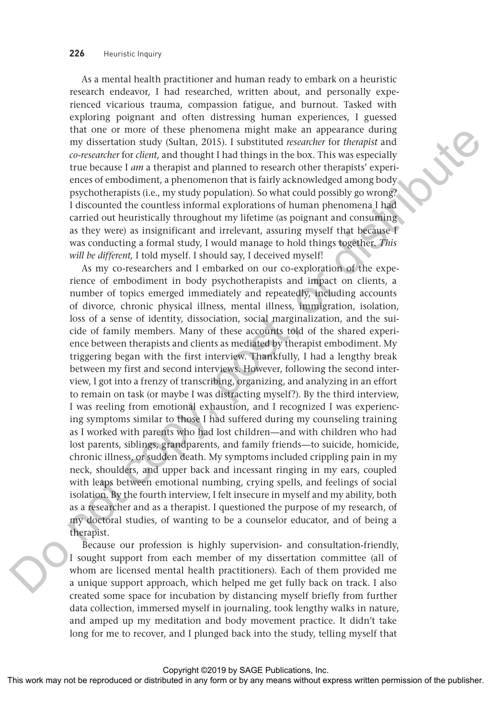As a mental health practitioner and human ready to embark on a heuristic research endeavor, I had researched, written about, and personally experienced vicarious trauma, compassion fatigue, and burnout. Tasked with exploring poignant and often distressing human experiences, I guessed that one or more of these phenomena might make an appearance during my dissertation study (Sultan, 2015). I substituted *researcher* for *therapist* and *co-researcher* for *client*, and thought I had things in the box. This was especially true because I *am* a therapist and planned to research other therapists' experiences of embodiment, a phenomenon that is fairly acknowledged among body psychotherapists (i.e., my study population). So what could possibly go wrong? I discounted the countless informal explorations of human phenomena I had carried out heuristically throughout my lifetime (as poignant and consuming as they were) as insignificant and irrelevant, assuring myself that because I was conducting a formal study, I would manage to hold things together. *This will be different,* I told myself. I should say, I deceived myself!

As my co-researchers and I embarked on our co-exploration of the experience of embodiment in body psychotherapists and impact on clients, a number of topics emerged immediately and repeatedly, including accounts of divorce, chronic physical illness, mental illness, immigration, isolation, loss of a sense of identity, dissociation, social marginalization, and the suicide of family members. Many of these accounts told of the shared experience between therapists and clients as mediated by therapist embodiment. My triggering began with the first interview. Thankfully, I had a lengthy break between my first and second interviews. However, following the second interview, I got into a frenzy of transcribing, organizing, and analyzing in an effort to remain on task (or maybe I was distracting myself?). By the third interview, I was reeling from emotional exhaustion, and I recognized I was experiencing symptoms similar to those I had suffered during my counseling training as I worked with parents who had lost children—and with children who had lost parents, siblings, grandparents, and family friends—to suicide, homicide, chronic illness, or sudden death. My symptoms included crippling pain in my neck, shoulders, and upper back and incessant ringing in my ears, coupled with leaps between emotional numbing, crying spells, and feelings of social isolation. By the fourth interview, I felt insecure in myself and my ability, both as a researcher and as a therapist. I questioned the purpose of my research, of my doctoral studies, of wanting to be a counselor educator, and of being a therapist. This was conducted in any means that the publisher and the publisher and the publisher or distributed in any the publisher and the publisher and the publisher of the publisher and the publisher and the publisher and the p

Because our profession is highly supervision- and consultation-friendly, I sought support from each member of my dissertation committee (all of whom are licensed mental health practitioners). Each of them provided me a unique support approach, which helped me get fully back on track. I also created some space for incubation by distancing myself briefly from further data collection, immersed myself in journaling, took lengthy walks in nature, and amped up my meditation and body movement practice. It didn't take long for me to recover, and I plunged back into the study, telling myself that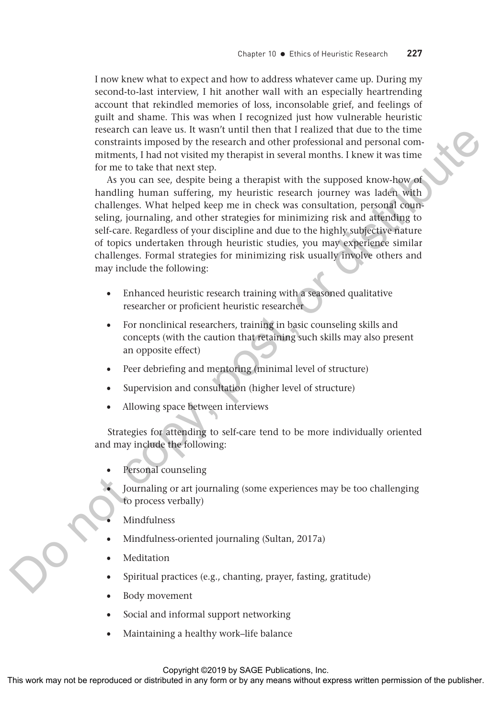I now knew what to expect and how to address whatever came up. During my second-to-last interview, I hit another wall with an especially heartrending account that rekindled memories of loss, inconsolable grief, and feelings of guilt and shame. This was when I recognized just how vulnerable heuristic research can leave us. It wasn't until then that I realized that due to the time constraints imposed by the research and other professional and personal commitments, I had not visited my therapist in several months. I knew it was time for me to take that next step.

As you can see, despite being a therapist with the supposed know-how of handling human suffering, my heuristic research journey was laden with challenges. What helped keep me in check was consultation, personal counseling, journaling, and other strategies for minimizing risk and attending to self-care. Regardless of your discipline and due to the highly subjective nature of topics undertaken through heuristic studies, you may experience similar challenges. Formal strategies for minimizing risk usually involve others and may include the following: The controllant may not be reproduced or the reproduced or distributed or distributed or by any means with the publisher and the controllant with the supposed know-layer it was that the composition of the supposed know-la

- Enhanced heuristic research training with a seasoned qualitative researcher or proficient heuristic researcher
- For nonclinical researchers, training in basic counseling skills and concepts (with the caution that retaining such skills may also present an opposite effect)
- Peer debriefing and mentoring (minimal level of structure)
- Supervision and consultation (higher level of structure)
- Allowing space between interviews

Strategies for attending to self-care tend to be more individually oriented and may include the following:

- Personal counseling
- Journaling or art journaling (some experiences may be too challenging to process verbally)
	- Mindfulness
- Mindfulness-oriented journaling (Sultan, 2017a)
- Meditation
- Spiritual practices (e.g., chanting, prayer, fasting, gratitude)
- Body movement
- Social and informal support networking
- Maintaining a healthy work–life balance